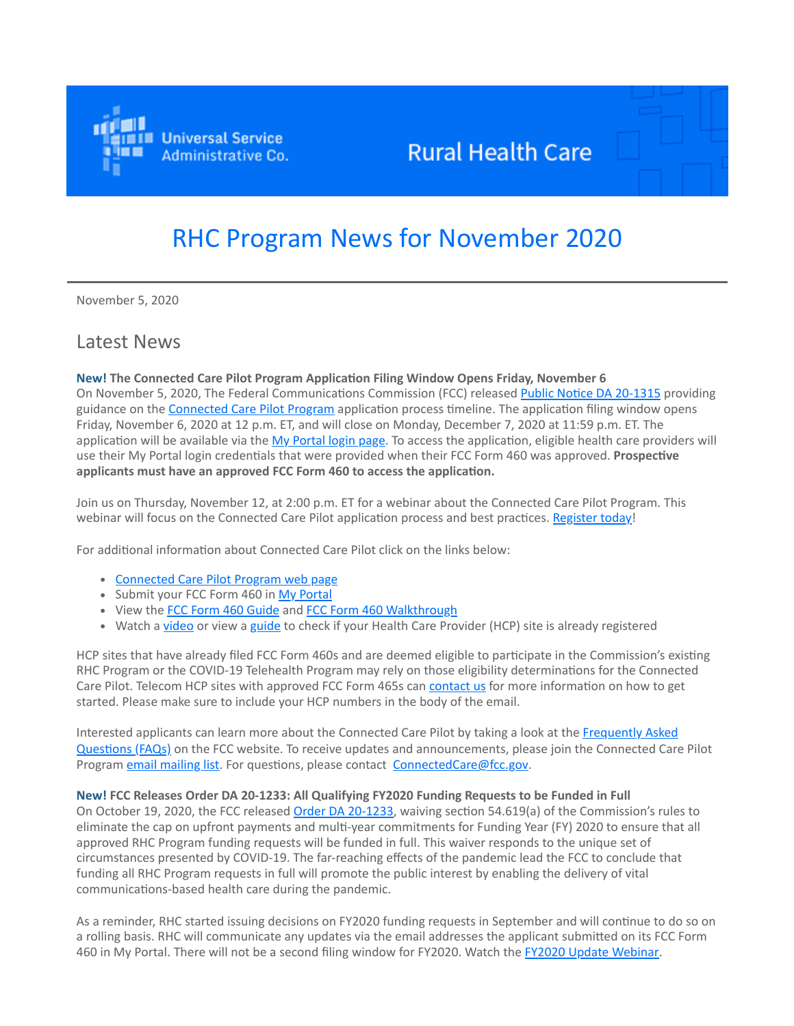

## **Rural Health Care**

# RHC Program News for November 2020

November 5, 2020

### Latest News

**New! The Connected Care Pilot Program Application Filing Window Opens Friday, November 6** On November 5, 2020, The Federal Communications Commission (FCC) released [Public Notice DA 20-1315](https://click.outreach.usac.org/?qs=14eca270761f0ff94f3645686fdce5c42b15e09a6911dd3c0ff67265a1c1d85cf1361489d10c826aeba8729f3e43758b0d71cc0b0b4480b3) providing guidance on the [Connected Care Pilot Program](https://click.outreach.usac.org/?qs=14eca270761f0ff9b89504a2a0c72d0fd1cb974e41b953953dd0a0f6ddc9bd6939c352453014fe962255570fba6c9df5a85f05719b0bab57) application process timeline. The application filing window opens Friday, November 6, 2020 at 12 p.m. ET, and will close on Monday, December 7, 2020 at 11:59 p.m. ET. The application will be available via the [My Portal login page.](https://click.outreach.usac.org/?qs=14eca270761f0ff91fe4651304aa204789ce583bd5faa8ad34a9adbf60a6f6ee994082644d8d917138b763e864061533436f3fc2d8da02dd) To access the application, eligible health care providers will use their My Portal login credentials that were provided when their FCC Form 460 was approved. **Prospective applicants must have an approved FCC Form 460 to access the application.**

Join us on Thursday, November 12, at 2:00 p.m. ET for a webinar about the Connected Care Pilot Program. This webinar will focus on the Connected Care Pilot application process and best practices. [Register today](https://click.outreach.usac.org/?qs=14eca270761f0ff9f122ddad6a0cf88b991b645f3bcc6260500988f7adafefa0665551abb442159ac26177cba29ee637529d5ec51bdb4c0e)!

For additional information about Connected Care Pilot click on the links below:

- [Connected Care Pilot Program web page](https://click.outreach.usac.org/?qs=14eca270761f0ff91c8ca1dd7b2d80100b9a4046cf95e9b1d2298f81c100bc56ab8819f517f23599fb0009d82c6af673bd6c8e6dbdf39dcc)
- Submit your FCC Form 460 in [My Portal](https://click.outreach.usac.org/?qs=eae602af19db0ce5f216655006e4da8120117ab0f6c4106c48c03ac18df47401a4e3a8f4ecc47a500ac6d3891c881239fde304cf2b03837f)
- View the [FCC Form 460 Guide](https://click.outreach.usac.org/?qs=eae602af19db0ce5d062143318db6d8df10035cdcf88bbaf8a17cb464d19f2a9fc30a09a6bf68cd33e25d8069025b983c1deec84d5d881c1) and [FCC Form 460 Walkthrough](https://click.outreach.usac.org/?qs=eae602af19db0ce56077816e229711e9895f7c4748170794bf7783e47d553e987c345e8ae5845b3ec9da89026b91421eaf4b7822778fa607)
- Watch a [video](https://click.outreach.usac.org/?qs=eae602af19db0ce54bdc36f03405f5d22335fab93f3e47bad7e144a10f2accfb8aa8ccfc3140c7604a631697e92a17d5bc52f5cbdf87984d) or view a [guide](https://click.outreach.usac.org/?qs=71e0ad06fc2f9ec2b383ed2b43fd6014aaeb20aee8ea25b0188c9894f1adf80e903f4eacb5b83da651a0c92cfdffa4a363679f53038c54c4) to check if your Health Care Provider (HCP) site is already registered

HCP sites that have already filed FCC Form 460s and are deemed eligible to participate in the Commission's existing RHC Program or the COVID-19 Telehealth Program may rely on those eligibility determinations for the Connected Care Pilot. Telecom HCP sites with approved FCC Form 465s can [contact us](mailto:RHC-Assist@usac.org?subject=) for more information on how to get started. Please make sure to include your HCP numbers in the body of the email.

[Interested applicants can learn more about the Connected Care Pilot by taking a look at the Frequently Asked](https://click.outreach.usac.org/?qs=71e0ad06fc2f9ec226c59446ef3bfaa75b53c92a3ee3034e9cc3ab8ed48c574511428b60d872456eac352d6323d6224a9f1400f56c0871ae) Questions (FAQs) on the FCC website. To receive updates and announcements, please join the Connected Care Pilot Program [email mailing list](https://click.outreach.usac.org/?qs=71e0ad06fc2f9ec2df431bc2309e682d630126e54c694e63596d32a7109bd2855ed9953b864c72f4764c2dad18a1d41c4d40b5f1d3bd805a). For questions, please contact [ConnectedCare@fcc.gov.](mailto:ConnectedCare@fcc.gov?subject=)

#### **New! FCC Releases Order DA 20-1233: All Qualifying FY2020 Funding Requests to be Funded in Full**

On October 19, 2020, the FCC released [Order DA 20-1233,](https://click.outreach.usac.org/?qs=71e0ad06fc2f9ec22b58066ce992d6a7b4fc5ec0ed03add0e938268c2a0d6b8887151645614879f0c46756760152befd21002cc3a4b24fbb) waiving section 54.619(a) of the Commission's rules to eliminate the cap on upfront payments and multi-year commitments for Funding Year (FY) 2020 to ensure that all approved RHC Program funding requests will be funded in full. This waiver responds to the unique set of circumstances presented by COVID-19. The far-reaching effects of the pandemic lead the FCC to conclude that funding all RHC Program requests in full will promote the public interest by enabling the delivery of vital communications-based health care during the pandemic.

As a reminder, RHC started issuing decisions on FY2020 funding requests in September and will continue to do so on a rolling basis. RHC will communicate any updates via the email addresses the applicant submitted on its FCC Form 460 in My Portal. There will not be a second filing window for FY2020. Watch the [FY2020 Update Webinar](https://click.outreach.usac.org/?qs=71e0ad06fc2f9ec2bb9772a825cc35245cb5be534879d43fd9acffb5849214edd67bc320128533a6846c34e5b8cd26f85937a45e853439d3).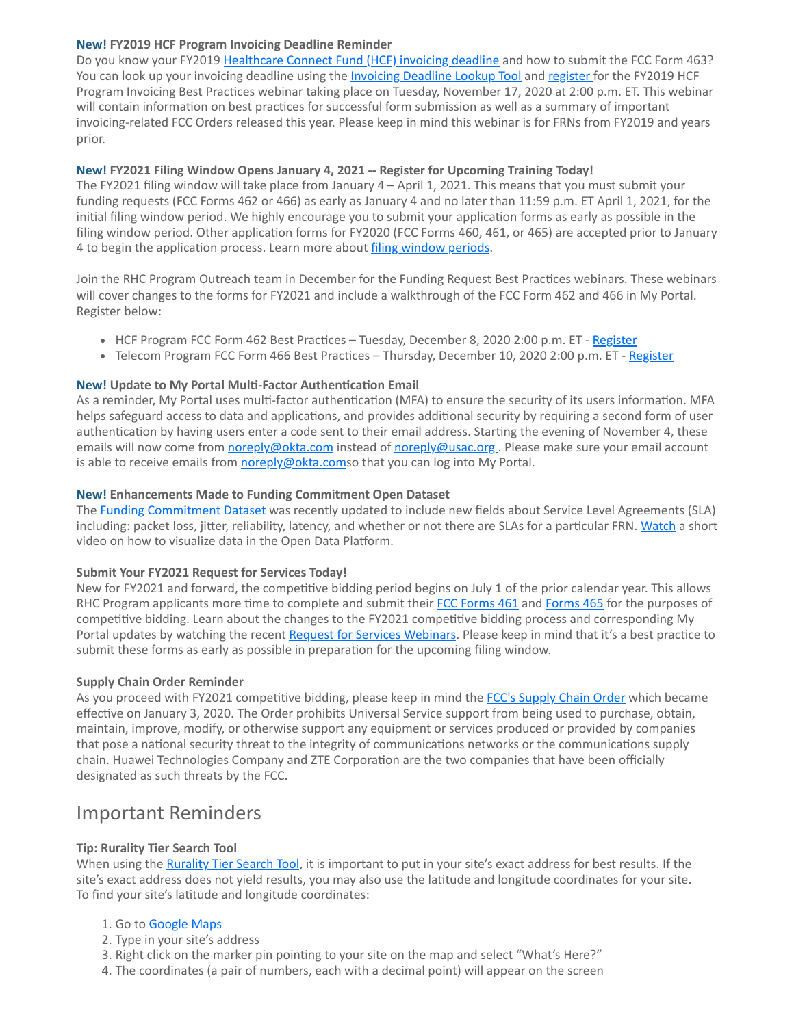#### **New! FY2019 HCF Program Invoicing Deadline Reminder**

Do you know your FY2019 [Healthcare Connect Fund \(HCF\) invoicing deadline](https://click.outreach.usac.org/?qs=7250d014007dc1b7d8f81d136bb8afb72225addb7e31bfd9cf9f34b2e7586f0e76b8f078016a41cecca63113f0ecbb61cb6da5954595b243) and how to submit the FCC Form 463? You can look up your invoicing deadline using the *Invoicing Deadline Lookup Tool* and [register](https://click.outreach.usac.org/?qs=7250d014007dc1b7c0f53e887cebd70bf193a11500f26f27dea3f7ff5db0cf8f6d9beed92b7b0ca9b3e39227cfa37b0a926afe971fb22423) for the FY2019 HCF Program Invoicing Best Practices webinar taking place on Tuesday, November 17, 2020 at 2:00 p.m. ET. This webinar will contain information on best practices for successful form submission as well as a summary of important invoicing-related FCC Orders released this year. Please keep in mind this webinar is for FRNs from FY2019 and years prior.

#### **New! FY2021 Filing Window Opens January 4, 2021 -- Register for Upcoming Training Today!**

The FY2021 filing window will take place from January 4 – April 1, 2021. This means that you must submit your funding requests (FCC Forms 462 or 466) as early as January 4 and no later than 11:59 p.m. ET April 1, 2021, for the initial filing window period. We highly encourage you to submit your application forms as early as possible in the filing window period. Other application forms for FY2020 (FCC Forms 460, 461, or 465) are accepted prior to January 4 to begin the application process. Learn more about [filing window periods.](https://click.outreach.usac.org/?qs=7250d014007dc1b7d72392a36d79ae59eda40e2b30115c7b594adbc2ff48fa2a00fec8217d410f15c2989bf4a92dd13a5d5b41d18dcd4c76)

Join the RHC Program Outreach team in December for the Funding Request Best Practices webinars. These webinars will cover changes to the forms for FY2021 and include a walkthrough of the FCC Form 462 and 466 in My Portal. Register below:

- HCF Program FCC Form 462 Best Practices Tuesday, December 8, 2020 2:00 p.m. ET [Register](https://click.outreach.usac.org/?qs=7250d014007dc1b73ba9d9e1e15fc9042c06395f52b35a508a269cb1b021599c1723f57f20ab6880c806b7518dfd1cac323331ceb7513d7b)
- Telecom Program FCC Form 466 Best Practices Thursday, December 10, 2020 2:00 p.m. ET [Register](https://click.outreach.usac.org/?qs=3d598529ab2c9009fe00133852b70375631ab30cea1ca828c2e2077b219432c6aca3214fb0de1e782ac0dde2156053f14821c1dec95d774e)

#### **New! Update to My Portal Multi-Factor Authentication Email**

As a reminder, My Portal uses multi-factor authentication (MFA) to ensure the security of its users information. MFA helps safeguard access to data and applications, and provides additional security by requiring a second form of user authentication by having users enter a code sent to their email address. Starting the evening of November 4, these emails will now come from [noreply@okta.com](mailto:noreply@okta.com?subject=) instead of [noreply@usac.org](mailto:noreply@usac.org?subject=) . Please make sure your email account is able to receive emails from [noreply@okta.coms](mailto:noreply@okta.com?subject=)o that you can log into My Portal.

#### **New! Enhancements Made to Funding Commitment Open Dataset**

The [Funding Commitment Dataset](https://click.outreach.usac.org/?qs=3d598529ab2c90095701f1f1f052159bd331a1e6edc2f06d62d0a59c915c828507bc003f58566cbb19a03035e754bf99f47d94140539f292) was recently updated to include new fields about Service Level Agreements (SLA) including: packet loss, jitter, reliability, latency, and whether or not there are SLAs for a particular FRN. [Watch](https://click.outreach.usac.org/?qs=3d598529ab2c9009817bab3cef990cccfc568eca266023b43cb369fa57048d31629700d0bfd297451b13be4c8c39865cb5660a6f0e28e27e) a short video on how to visualize data in the Open Data Platform.

#### **Submit Your FY2021 Request for Services Today!**

New for FY2021 and forward, the competitive bidding period begins on July 1 of the prior calendar year. This allows RHC Program applicants more time to complete and submit their [FCC Forms 461](https://click.outreach.usac.org/?qs=3d598529ab2c90091e46fc728853238a0a489746be891cef1a4c91232073da9f9919e58c8bb84b9ffea488cb709bc7c0dd7fd5e20062d54d) and [Forms 465](https://click.outreach.usac.org/?qs=3d598529ab2c90092bd0e3d3c635fd34a4a29bfcdc5e91b9ed8fc4ff995f41ad78e54eeaee391e96b71943561371e422f90aa4b88e321f11) for the purposes of competitive bidding. Learn about the changes to the FY2021 competitive bidding process and corresponding My Portal updates by watching the recent [Request for Services Webinars.](https://click.outreach.usac.org/?qs=13bc6278d94f4707cb9fb667a5eb80716e3d6b561d5514b2dc2ec2a76a62361e2c7ef47582bc72ad6c0140f5d1f750f26f4af5f5b6036556) Please keep in mind that it's a best practice to submit these forms as early as possible in preparation for the upcoming filing window.

#### **Supply Chain Order Reminder**

As you proceed with FY2021 competitive bidding, please keep in mind the [FCC's Supply Chain Order](https://click.outreach.usac.org/?qs=13bc6278d94f470758f556514d04af6397cd7feba3fb943a7cf0945b85c35800a780af1046001d9ba5d8a8a324fd537ba46c7293ad495165) which became effective on January 3, 2020. The Order prohibits Universal Service support from being used to purchase, obtain, maintain, improve, modify, or otherwise support any equipment or services produced or provided by companies that pose a national security threat to the integrity of communications networks or the communications supply chain. Huawei Technologies Company and ZTE Corporation are the two companies that have been officially designated as such threats by the FCC.

## Important Reminders

#### **Tip: Rurality Tier Search Tool**

When using the [Rurality Tier Search Tool,](https://click.outreach.usac.org/?qs=13bc6278d94f4707f5318b2a510517386480409db10ece46f9644dbf50a6dd5ef3fc07d185618a6091e7a823c73d581c4367fbf2a8b84ad9) it is important to put in your site's exact address for best results. If the site's exact address does not yield results, you may also use the latitude and longitude coordinates for your site. To find your site's latitude and longitude coordinates:

- 1. Go to **Google Maps**
- 2. Type in your site's address
- 3. Right click on the marker pin pointing to your site on the map and select "What's Here?"
- 4. The coordinates (a pair of numbers, each with a decimal point) will appear on the screen